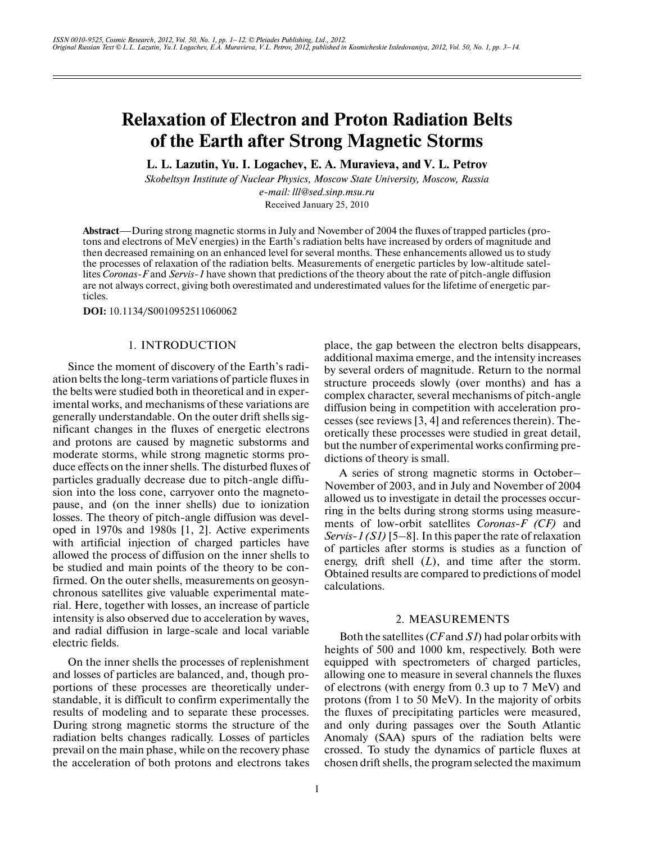# **Relaxation of Electron and Proton Radiation Belts of the Earth after Strong Magnetic Storms**

**L. L. Lazutin, Yu. I. Logachev, E. A. Muravieva, and V. L. Petrov**

*Skobeltsyn Institute of Nuclear Physics, Moscow State University, Moscow, Russia e-mail: lll@sed.sinp.msu.ru*

Received January 25, 2010

**Abstract**—During strong magnetic storms in July and November of 2004 the fluxes of trapped particles (protons and electrons of MeV energies) in the Earth's radiation belts have increased by orders of magnitude and then decreased remaining on an enhanced level for several months. These enhancements allowed us to study the processes of relaxation of the radiation belts. Measurements of energetic particles by low-altitude satel lites *Coronas-F* and *Servis-1* have shown that predictions of the theory about the rate of pitch-angle diffusion are not always correct, giving both overestimated and underestimated values for the lifetime of energetic par ticles.

**DOI:** 10.1134/S0010952511060062

# 1. INTRODUCTION

Since the moment of discovery of the Earth's radi ation belts the long-term variations of particle fluxes in the belts were studied both in theoretical and in exper imental works, and mechanisms of these variations are generally understandable. On the outer drift shells sig nificant changes in the fluxes of energetic electrons and protons are caused by magnetic substorms and moderate storms, while strong magnetic storms pro duce effects on the inner shells. The disturbed fluxes of particles gradually decrease due to pitch-angle diffu sion into the loss cone, carryover onto the magneto pause, and (on the inner shells) due to ionization losses. The theory of pitch-angle diffusion was developed in 1970s and 1980s [1, 2]. Active experiments with artificial injection of charged particles have allowed the process of diffusion on the inner shells to be studied and main points of the theory to be con firmed. On the outer shells, measurements on geosyn chronous satellites give valuable experimental mate rial. Here, together with losses, an increase of particle intensity is also observed due to acceleration by waves, and radial diffusion in large-scale and local variable electric fields.

On the inner shells the processes of replenishment and losses of particles are balanced, and, though pro portions of these processes are theoretically under standable, it is difficult to confirm experimentally the results of modeling and to separate these processes. During strong magnetic storms the structure of the radiation belts changes radically. Losses of particles prevail on the main phase, while on the recovery phase the acceleration of both protons and electrons takes place, the gap between the electron belts disappears, additional maxima emerge, and the intensity increases by several orders of magnitude. Return to the normal structure proceeds slowly (over months) and has a complex character, several mechanisms of pitch-angle diffusion being in competition with acceleration pro cesses (see reviews [3, 4] and references therein). The oretically these processes were studied in great detail, but the number of experimental works confirming pre dictions of theory is small.

A series of strong magnetic storms in October– November of 2003, and in July and November of 2004 allowed us to investigate in detail the processes occur ring in the belts during strong storms using measure ments of low-orbit satellites *Coronas-F (CF)* and *Servis-1 (S1)* [5–8]. In this paper the rate of relaxation of particles after storms is studies as a function of energy, drift shell  $(L)$ , and time after the storm. Obtained results are compared to predictions of model calculations.

#### 2. MEASUREMENTS

Both the satellites (*CF* and *S1*) had polar orbits with heights of 500 and 1000 km, respectively. Both were equipped with spectrometers of charged particles, allowing one to measure in several channels the fluxes of electrons (with energy from 0.3 up to 7 MeV) and protons (from 1 to 50 MeV). In the majority of orbits the fluxes of precipitating particles were measured, and only during passages over the South Atlantic Anomaly (SAA) spurs of the radiation belts were crossed. To study the dynamics of particle fluxes at chosen drift shells, the program selected the maximum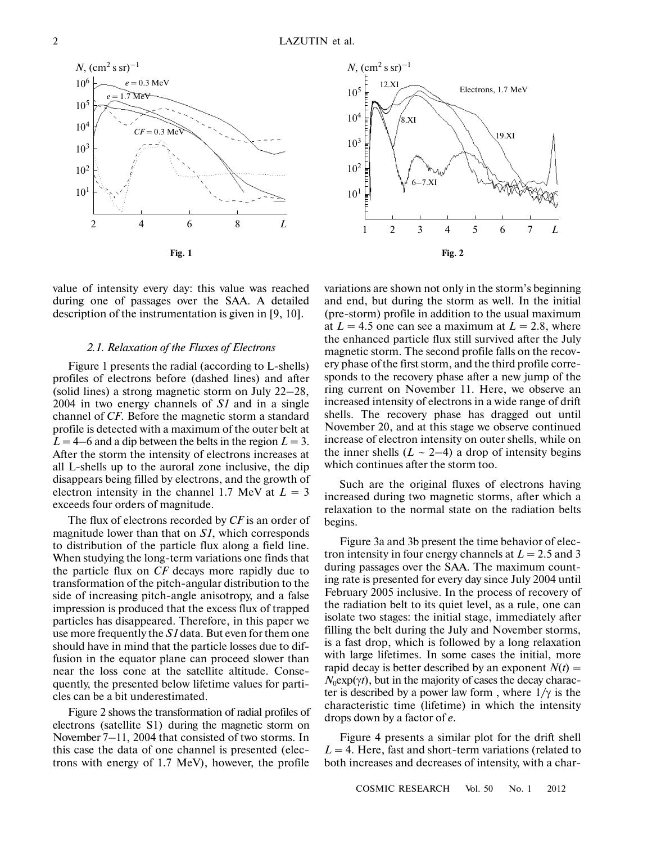$10<sup>5</sup>$ 

 $10<sup>4</sup>$ 

 $10^{3}$ 

102

*N*,  $\rm (cm^2 \, s \, sr)^{-1}$ 12.XI

8.XI





#### *2.1. Relaxation of the Fluxes of Electrons*

Figure 1 presents the radial (according to L-shells) profiles of electrons before (dashed lines) and after (solid lines) a strong magnetic storm on July 22–28, 2004 in two energy channels of *S1* and in a single channel of *CF*. Before the magnetic storm a standard profile is detected with a maximum of the outer belt at  $L = 4-6$  and a dip between the belts in the region  $L = 3$ . After the storm the intensity of electrons increases at all L-shells up to the auroral zone inclusive, the dip disappears being filled by electrons, and the growth of electron intensity in the channel 1.7 MeV at  $L = 3$ exceeds four orders of magnitude.

The flux of electrons recorded by *CF* is an order of magnitude lower than that on *S1*, which corresponds to distribution of the particle flux along a field line. When studying the long-term variations one finds that the particle flux on *CF* decays more rapidly due to transformation of the pitch-angular distribution to the side of increasing pitch-angle anisotropy, and a false impression is produced that the excess flux of trapped particles has disappeared. Therefore, in this paper we use more frequently the *S1* data. But even for them one should have in mind that the particle losses due to dif fusion in the equator plane can proceed slower than near the loss cone at the satellite altitude. Conse quently, the presented below lifetime values for parti cles can be a bit underestimated.

Figure 2 shows the transformation of radial profiles of electrons (satellite S1) during the magnetic storm on November 7–11, 2004 that consisted of two storms. In this case the data of one channel is presented (elec trons with energy of 1.7 MeV), however, the profile



Electrons, 1.7 MeV

19.XI

Such are the original fluxes of electrons having increased during two magnetic storms, after which a relaxation to the normal state on the radiation belts begins.

Figure 3a and 3b present the time behavior of elec tron intensity in four energy channels at  $L = 2.5$  and 3 during passages over the SAA. The maximum count ing rate is presented for every day since July 2004 until February 2005 inclusive. In the process of recovery of the radiation belt to its quiet level, as a rule, one can isolate two stages: the initial stage, immediately after filling the belt during the July and November storms, is a fast drop, which is followed by a long relaxation with large lifetimes. In some cases the initial, more rapid decay is better described by an exponent  $N(t)$  =  $N_0 \exp(\gamma t)$ , but in the majority of cases the decay character is described by a power law form, where  $1/\gamma$  is the characteristic time (lifetime) in which the intensity drops down by a factor of *е*.

Figure 4 presents a similar plot for the drift shell  $L = 4$ . Here, fast and short-term variations (related to both increases and decreases of intensity, with a char-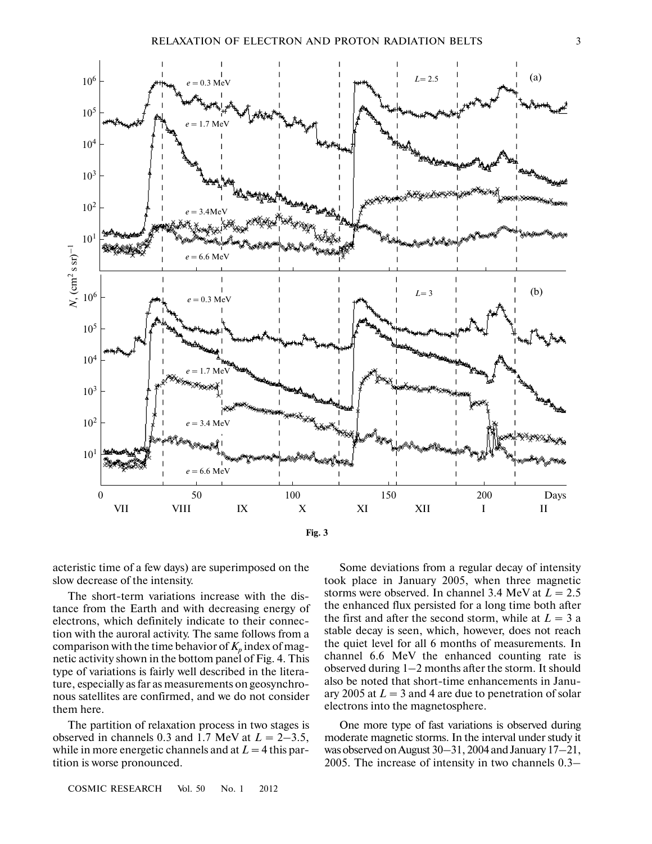

acteristic time of a few days) are superimposed on the slow decrease of the intensity.

The short-term variations increase with the dis tance from the Earth and with decreasing energy of electrons, which definitely indicate to their connec tion with the auroral activity. The same follows from a comparison with the time behavior of  $K_p$  index of magnetic activity shown in the bottom panel of Fig. 4. This type of variations is fairly well described in the litera ture, especially as far as measurements on geosynchro nous satellites are confirmed, and we do not consider them here.

The partition of relaxation process in two stages is observed in channels 0.3 and 1.7 MeV at  $L = 2-3.5$ , while in more energetic channels and at  $L = 4$  this partition is worse pronounced.

Some deviations from a regular decay of intensity took place in January 2005, when three magnetic storms were observed. In channel 3.4 MeV at  $L = 2.5$ the enhanced flux persisted for a long time both after the first and after the second storm, while at  $L = 3$  a stable decay is seen, which, however, does not reach the quiet level for all 6 months of measurements. In channel 6.6 MeV the enhanced counting rate is observed during 1–2 months after the storm. It should also be noted that short-time enhancements in Janu ary 2005 at  $L = 3$  and 4 are due to penetration of solar electrons into the magnetosphere.

One more type of fast variations is observed during moderate magnetic storms. In the interval under study it was observed on August 30–31, 2004 and January 17–21, 2005. The increase of intensity in two channels 0.3–

COSMIC RESEARCH Vol. 50 No. 1 2012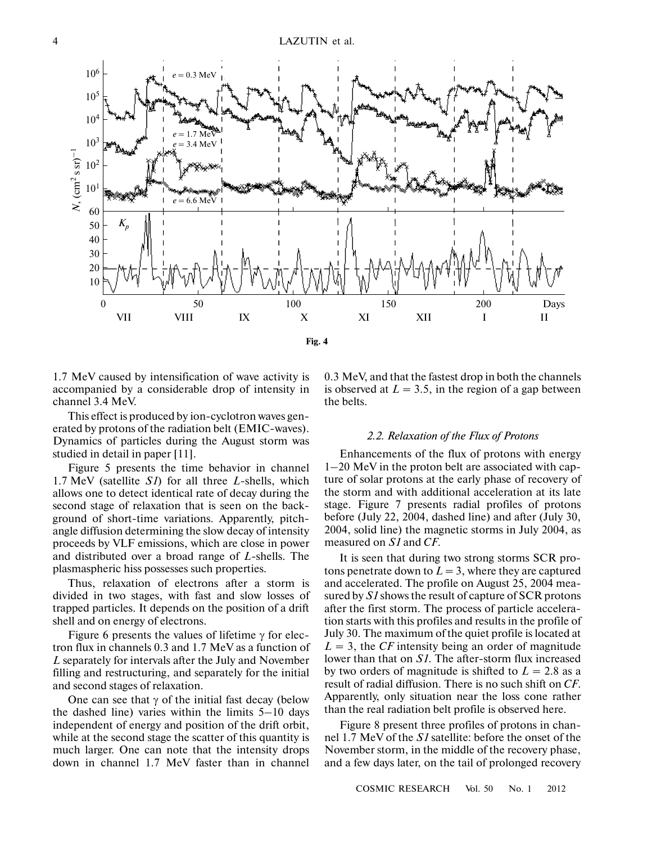

1.7 MeV caused by intensification of wave activity is accompanied by a considerable drop of intensity in channel 3.4 MeV.

This effect is produced by ion-cyclotron waves gen erated by protons of the radiation belt (EMIC-waves). Dynamics of particles during the August storm was studied in detail in paper [11].

Figure 5 presents the time behavior in channel 1.7 MeV (satellite *S1*) for all three *L*-shells, which allows one to detect identical rate of decay during the second stage of relaxation that is seen on the back ground of short-time variations. Apparently, pitch angle diffusion determining the slow decay of intensity proceeds by VLF emissions, which are close in power and distributed over a broad range of *L*-shells. The plasmaspheric hiss possesses such properties.

Thus, relaxation of electrons after a storm is divided in two stages, with fast and slow losses of trapped particles. It depends on the position of a drift shell and on energy of electrons.

Figure 6 presents the values of lifetime  $\gamma$  for electron flux in channels 0.3 and 1.7 MeV as a function of *L* separately for intervals after the July and November filling and restructuring, and separately for the initial and second stages of relaxation.

One can see that  $\gamma$  of the initial fast decay (below the dashed line) varies within the limits 5–10 days independent of energy and position of the drift orbit, while at the second stage the scatter of this quantity is much larger. One can note that the intensity drops down in channel 1.7 MeV faster than in channel 0.3 MeV, and that the fastest drop in both the channels is observed at  $L = 3.5$ , in the region of a gap between the belts.

#### *2.2. Relaxation of the Flux of Protons*

Enhancements of the flux of protons with energy 1–20 MeV in the proton belt are associated with cap ture of solar protons at the early phase of recovery of the storm and with additional acceleration at its late stage. Figure 7 presents radial profiles of protons before (July 22, 2004, dashed line) and after (July 30, 2004, solid line) the magnetic storms in July 2004, as measured on *S1* and *CF*.

It is seen that during two strong storms SCR pro tons penetrate down to  $L = 3$ , where they are captured and accelerated. The profile on August 25, 2004 mea sured by *S1* shows the result of capture of SCR protons after the first storm. The process of particle accelera tion starts with this profiles and results in the profile of July 30. The maximum of the quiet profile is located at  $L = 3$ , the *CF* intensity being an order of magnitude lower than that on *S1*. The after-storm flux increased by two orders of magnitude is shifted to  $L = 2.8$  as a result of radial diffusion. There is no such shift on *CF*. Apparently, only situation near the loss cone rather than the real radiation belt profile is observed here.

Figure 8 present three profiles of protons in chan nel 1.7 MeV of the *S1* satellite: before the onset of the November storm, in the middle of the recovery phase, and a few days later, on the tail of prolonged recovery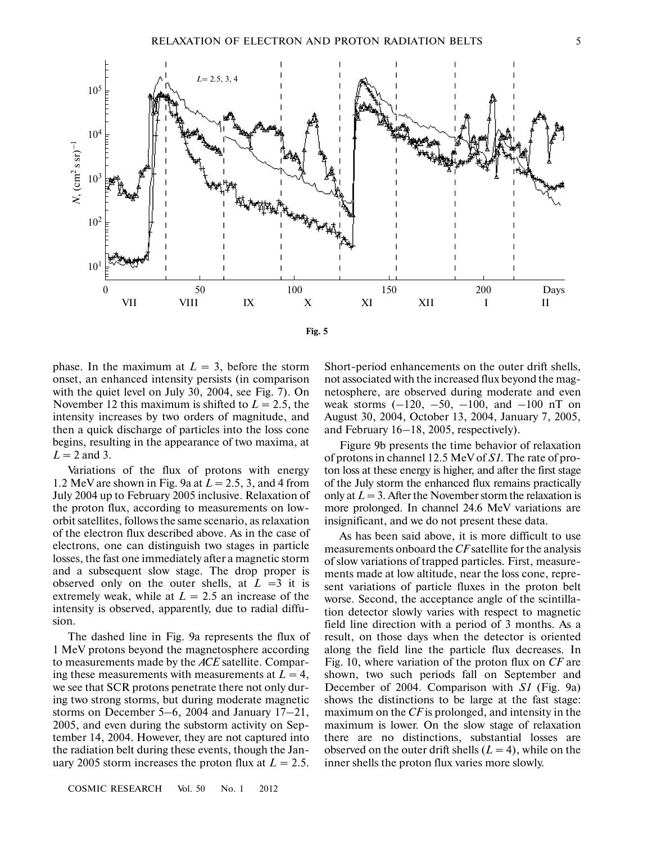

phase. In the maximum at  $L = 3$ , before the storm onset, an enhanced intensity persists (in comparison with the quiet level on July 30, 2004, see Fig. 7). On November 12 this maximum is shifted to  $L = 2.5$ , the intensity increases by two orders of magnitude, and then a quick discharge of particles into the loss cone begins, resulting in the appearance of two maxima, at  $L = 2$  and 3.

Variations of the flux of protons with energy 1.2 MeV are shown in Fig. 9a at *L* = 2.5, 3, and 4 from July 2004 up to February 2005 inclusive. Relaxation of the proton flux, according to measurements on low orbit satellites, follows the same scenario, as relaxation of the electron flux described above. As in the case of electrons, one can distinguish two stages in particle losses, the fast one immediately after a magnetic storm and a subsequent slow stage. The drop proper is observed only on the outer shells, at  $L = 3$  it is extremely weak, while at  $L = 2.5$  an increase of the intensity is observed, apparently, due to radial diffu sion.

The dashed line in Fig. 9a represents the flux of 1 MeV protons beyond the magnetosphere according to measurements made by the *ACE* satellite. Compar ing these measurements with measurements at  $L = 4$ , we see that SCR protons penetrate there not only dur ing two strong storms, but during moderate magnetic storms on December 5–6, 2004 and January 17–21, 2005, and even during the substorm activity on Sep tember 14, 2004. However, they are not captured into the radiation belt during these events, though the Jan uary 2005 storm increases the proton flux at  $L = 2.5$ .

Short-period enhancements on the outer drift shells, not associated with the increased flux beyond the mag netosphere, are observed during moderate and even weak storms  $(-120, -50, -100, \text{ and } -100 \text{ nT}$  on August 30, 2004, October 13, 2004, January 7, 2005, and February 16–18, 2005, respectively).

Figure 9b presents the time behavior of relaxation of protons in channel 12.5 MeV of *S1*. The rate of pro ton loss at these energy is higher, and after the first stage of the July storm the enhanced flux remains practically only at  $L = 3$ . After the November storm the relaxation is more prolonged. In channel 24.6 MeV variations are insignificant, and we do not present these data.

As has been said above, it is more difficult to use measurements onboard the *CF* satellite for the analysis of slow variations of trapped particles. First, measure ments made at low altitude, near the loss cone, repre sent variations of particle fluxes in the proton belt worse. Second, the acceptance angle of the scintilla tion detector slowly varies with respect to magnetic field line direction with a period of 3 months. As a result, on those days when the detector is oriented along the field line the particle flux decreases. In Fig. 10, where variation of the proton flux on *CF* are shown, two such periods fall on September and December of 2004. Comparison with *S1* (Fig. 9a) shows the distinctions to be large at the fast stage: maximum on the *CF* is prolonged, and intensity in the maximum is lower. On the slow stage of relaxation there are no distinctions, substantial losses are observed on the outer drift shells  $(L = 4)$ , while on the inner shells the proton flux varies more slowly.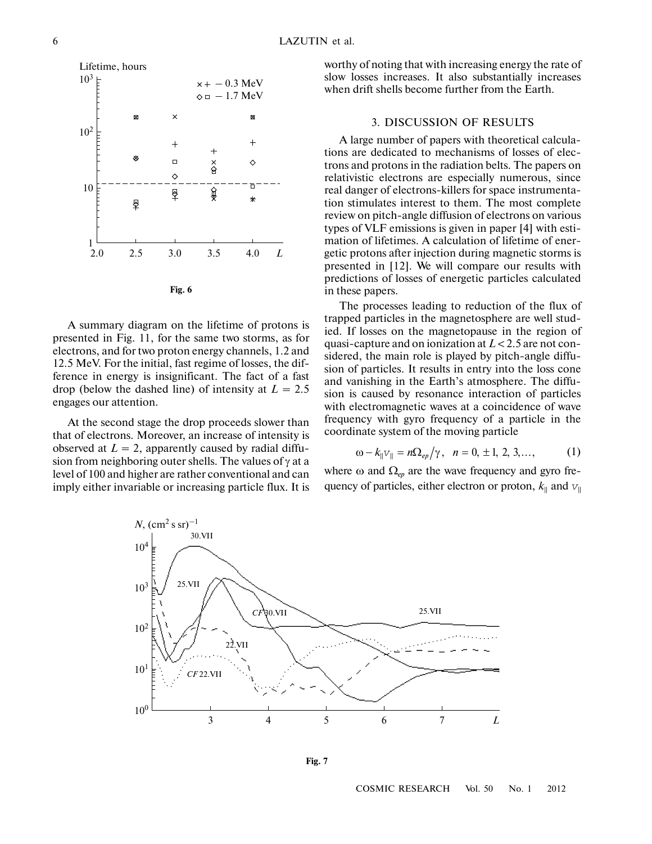

A summary diagram on the lifetime of protons is presented in Fig. 11, for the same two storms, as for electrons, and for two proton energy channels, 1.2 and 12.5 MeV. For the initial, fast regime of losses, the dif ference in energy is insignificant. The fact of a fast drop (below the dashed line) of intensity at  $L = 2.5$ engages our attention.

At the second stage the drop proceeds slower than that of electrons. Moreover, an increase of intensity is observed at  $L = 2$ , apparently caused by radial diffusion from neighboring outer shells. The values of  $\gamma$  at a level of 100 and higher are rather conventional and can imply either invariable or increasing particle flux. It is worthy of noting that with increasing energy the rate of slow losses increases. It also substantially increases when drift shells become further from the Earth.

# 3. DISCUSSION OF RESULTS

A large number of papers with theoretical calcula tions are dedicated to mechanisms of losses of elec trons and protons in the radiation belts. The papers on relativistic electrons are especially numerous, since real danger of electrons-killers for space instrumenta tion stimulates interest to them. The most complete review on pitch-angle diffusion of electrons on various types of VLF emissions is given in paper [4] with esti mation of lifetimes. A calculation of lifetime of ener getic protons after injection during magnetic storms is presented in [12]. We will compare our results with predictions of losses of energetic particles calculated in these papers.

The processes leading to reduction of the flux of trapped particles in the magnetosphere are well stud ied. If losses on the magnetopause in the region of quasi-capture and on ionization at *L* < 2.5 are not con sidered, the main role is played by pitch-angle diffu sion of particles. It results in entry into the loss cone and vanishing in the Earth's atmosphere. The diffu sion is caused by resonance interaction of particles with electromagnetic waves at a coincidence of wave frequency with gyro frequency of a particle in the coordinate system of the moving particle

$$
\omega - k_{\|}v_{\|} = n\Omega_{ep}/\gamma, \ \ n = 0, \pm 1, \ 2, \ 3, \dots,
$$
 (1)

where  $\omega$  and  $\Omega_{ep}$  are the wave frequency and gyro frequency of particles, either electron or proton,  $k_{\parallel}$  and  $v_{\parallel}$ 



**Fig. 7**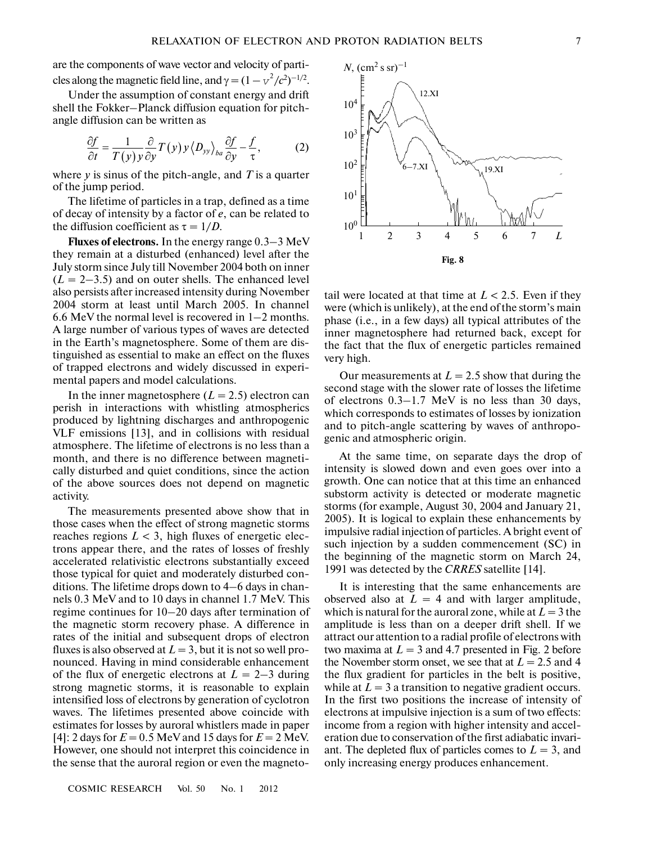are the components of wave vector and velocity of parti cles along the magnetic field line, and  $\gamma = (1 - v^2/c^2)^{-1/2}$ .

Under the assumption of constant energy and drift shell the Fokker–Planck diffusion equation for pitch angle diffusion can be written as

$$
\frac{\partial f}{\partial t} = \frac{1}{T(y)y} \frac{\partial}{\partial y} T(y) y \langle D_{yy} \rangle_{ba} \frac{\partial f}{\partial y} - \frac{f}{\tau}, \tag{2}
$$

where *y* is sinus of the pitch-angle, and *Т* is a quarter of the jump period.

The lifetime of particles in a trap, defined as a time of decay of intensity by a factor of *е*, can be related to the diffusion coefficient as  $\tau = 1/D$ .

**Fluxes of electrons.** In the energy range 0.3–3 MeV they remain at a disturbed (enhanced) level after the July storm since July till November 2004 both on inner  $(L = 2-3.5)$  and on outer shells. The enhanced level also persists after increased intensity during November 2004 storm at least until March 2005. In channel 6.6 MeV the normal level is recovered in 1–2 months. A large number of various types of waves are detected in the Earth's magnetosphere. Some of them are dis tinguished as essential to make an effect on the fluxes of trapped electrons and widely discussed in experi mental papers and model calculations.

In the inner magnetosphere  $(L = 2.5)$  electron can perish in interactions with whistling atmospherics produced by lightning discharges and anthropogenic VLF emissions [13], and in collisions with residual atmosphere. The lifetime of electrons is no less than a month, and there is no difference between magneti cally disturbed and quiet conditions, since the action of the above sources does not depend on magnetic activity.

The measurements presented above show that in those cases when the effect of strong magnetic storms reaches regions  $L < 3$ , high fluxes of energetic electrons appear there, and the rates of losses of freshly accelerated relativistic electrons substantially exceed those typical for quiet and moderately disturbed con ditions. The lifetime drops down to 4–6 days in chan nels 0.3 MeV and to 10 days in channel 1.7 MeV. This regime continues for 10–20 days after termination of the magnetic storm recovery phase. A difference in rates of the initial and subsequent drops of electron fluxes is also observed at  $L = 3$ , but it is not so well pronounced. Having in mind considerable enhancement of the flux of energetic electrons at  $L = 2-3$  during strong magnetic storms, it is reasonable to explain intensified loss of electrons by generation of cyclotron waves. The lifetimes presented above coincide with estimates for losses by auroral whistlers made in paper [4]: 2 days for  $E = 0.5$  MeV and 15 days for  $E = 2$  MeV. However, one should not interpret this coincidence in the sense that the auroral region or even the magneto-



tail were located at that time at  $L < 2.5$ . Even if they were (which is unlikely), at the end of the storm's main phase (i.e., in a few days) all typical attributes of the inner magnetosphere had returned back, except for the fact that the flux of energetic particles remained very high.

Our measurements at  $L = 2.5$  show that during the second stage with the slower rate of losses the lifetime of electrons 0.3–1.7 MeV is no less than 30 days, which corresponds to estimates of losses by ionization and to pitch-angle scattering by waves of anthropo genic and atmospheric origin.

At the same time, on separate days the drop of intensity is slowed down and even goes over into a growth. One can notice that at this time an enhanced substorm activity is detected or moderate magnetic storms (for example, August 30, 2004 and January 21, 2005). It is logical to explain these enhancements by impulsive radial injection of particles. A bright event of such injection by a sudden commencement (SC) in the beginning of the magnetic storm on March 24, 1991 was detected by the *CRRES* satellite [14].

It is interesting that the same enhancements are observed also at  $L = 4$  and with larger amplitude, which is natural for the auroral zone, while at  $L = 3$  the amplitude is less than on a deeper drift shell. If we attract our attention to a radial profile of electrons with two maxima at  $L = 3$  and 4.7 presented in Fig. 2 before the November storm onset, we see that at  $L = 2.5$  and 4 the flux gradient for particles in the belt is positive, while at  $L = 3$  a transition to negative gradient occurs. In the first two positions the increase of intensity of electrons at impulsive injection is a sum of two effects: income from a region with higher intensity and accel eration due to conservation of the first adiabatic invari ant. The depleted flux of particles comes to  $L = 3$ , and only increasing energy produces enhancement.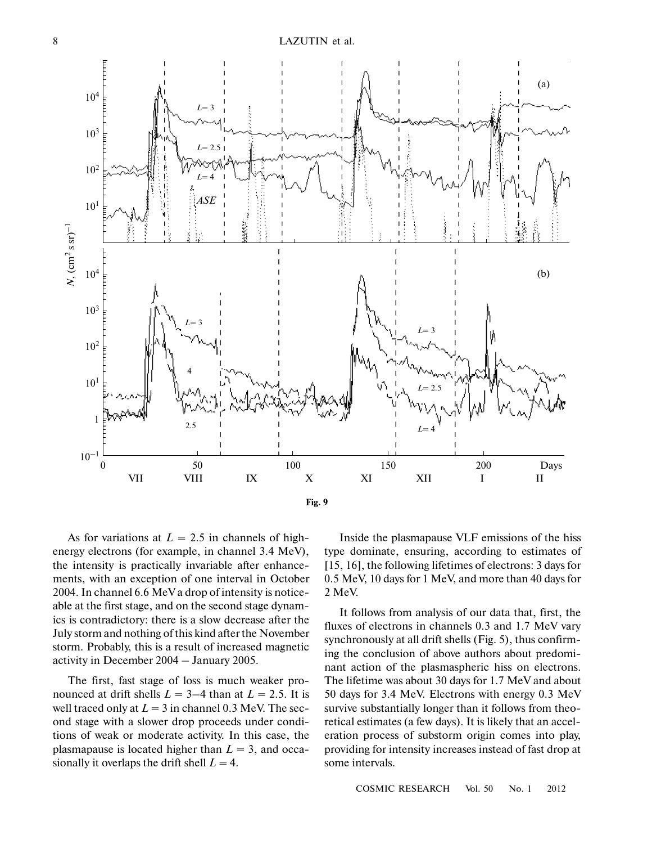

As for variations at  $L = 2.5$  in channels of highenergy electrons (for example, in channel 3.4 MeV), the intensity is practically invariable after enhance ments, with an exception of one interval in October 2004. In channel 6.6 MeV a drop of intensity is notice able at the first stage, and on the second stage dynam ics is contradictory: there is a slow decrease after the July storm and nothing of this kind after the November storm. Probably, this is a result of increased magnetic activity in December 2004 – January 2005.

The first, fast stage of loss is much weaker pro nounced at drift shells  $L = 3-4$  than at  $L = 2.5$ . It is well traced only at  $L = 3$  in channel 0.3 MeV. The second stage with a slower drop proceeds under condi tions of weak or moderate activity. In this case, the plasmapause is located higher than  $L = 3$ , and occasionally it overlaps the drift shell  $L = 4$ .

Inside the plasmapause VLF emissions of the hiss type dominate, ensuring, according to estimates of [15, 16], the following lifetimes of electrons: 3 days for 0.5 MeV, 10 days for 1 MeV, and more than 40 days for 2 MeV.

It follows from analysis of our data that, first, the fluxes of electrons in channels 0.3 and 1.7 MeV vary synchronously at all drift shells (Fig. 5), thus confirm ing the conclusion of above authors about predomi nant action of the plasmaspheric hiss on electrons. The lifetime was about 30 days for 1.7 MeV and about 50 days for 3.4 MeV. Electrons with energy 0.3 MeV survive substantially longer than it follows from theo retical estimates (a few days). It is likely that an accel eration process of substorm origin comes into play, providing for intensity increases instead of fast drop at some intervals.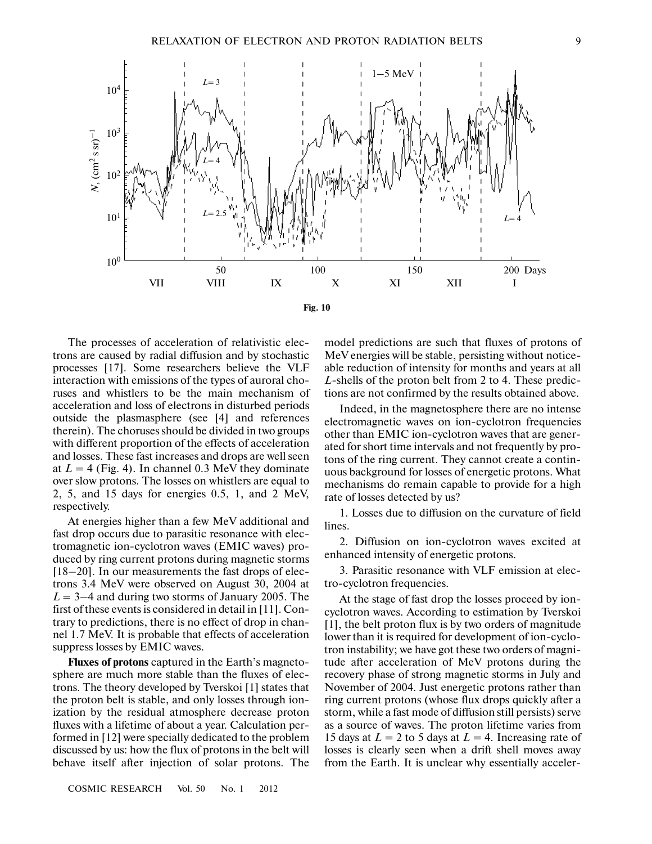

The processes of acceleration of relativistic elec trons are caused by radial diffusion and by stochastic processes [17]. Some researchers believe the VLF interaction with emissions of the types of auroral cho ruses and whistlers to be the main mechanism of acceleration and loss of electrons in disturbed periods outside the plasmasphere (see [4] and references therein). The choruses should be divided in two groups with different proportion of the effects of acceleration and losses. These fast increases and drops are well seen at  $L = 4$  (Fig. 4). In channel 0.3 MeV they dominate over slow protons. The losses on whistlers are equal to 2, 5, and 15 days for energies 0.5, 1, and 2 MeV, respectively.

At energies higher than a few MeV additional and fast drop occurs due to parasitic resonance with elec tromagnetic ion-cyclotron waves (EMIC waves) pro duced by ring current protons during magnetic storms [18–20]. In our measurements the fast drops of elec trons 3.4 MeV were observed on August 30, 2004 at  $L = 3-4$  and during two storms of January 2005. The first of these events is considered in detail in [11]. Con trary to predictions, there is no effect of drop in chan nel 1.7 MeV. It is probable that effects of acceleration suppress losses by EMIC waves.

**Fluxes of protons** captured in the Earth's magneto sphere are much more stable than the fluxes of elec trons. The theory developed by Tverskoi [1] states that the proton belt is stable, and only losses through ion ization by the residual atmosphere decrease proton fluxes with a lifetime of about a year. Calculation per formed in [12] were specially dedicated to the problem discussed by us: how the flux of protons in the belt will behave itself after injection of solar protons. The

model predictions are such that fluxes of protons of MeV energies will be stable, persisting without notice able reduction of intensity for months and years at all *L*-shells of the proton belt from 2 to 4. These predic tions are not confirmed by the results obtained above.

Indeed, in the magnetosphere there are no intense electromagnetic waves on ion-cyclotron frequencies other than EMIC ion-cyclotron waves that are gener ated for short time intervals and not frequently by pro tons of the ring current. They cannot create a contin uous background for losses of energetic protons. What mechanisms do remain capable to provide for a high rate of losses detected by us?

1. Losses due to diffusion on the curvature of field lines.

2. Diffusion on ion-cyclotron waves excited at enhanced intensity of energetic protons.

3. Parasitic resonance with VLF emission at elec tro-cyclotron frequencies.

At the stage of fast drop the losses proceed by ion cyclotron waves. According to estimation by Tverskoi [1], the belt proton flux is by two orders of magnitude lower than it is required for development of ion-cyclo tron instability; we have got these two orders of magni tude after acceleration of MeV protons during the recovery phase of strong magnetic storms in July and November of 2004. Just energetic protons rather than ring current protons (whose flux drops quickly after a storm, while a fast mode of diffusion still persists) serve as a source of waves. The proton lifetime varies from 15 days at  $L = 2$  to 5 days at  $L = 4$ . Increasing rate of losses is clearly seen when a drift shell moves away from the Earth. It is unclear why essentially acceler-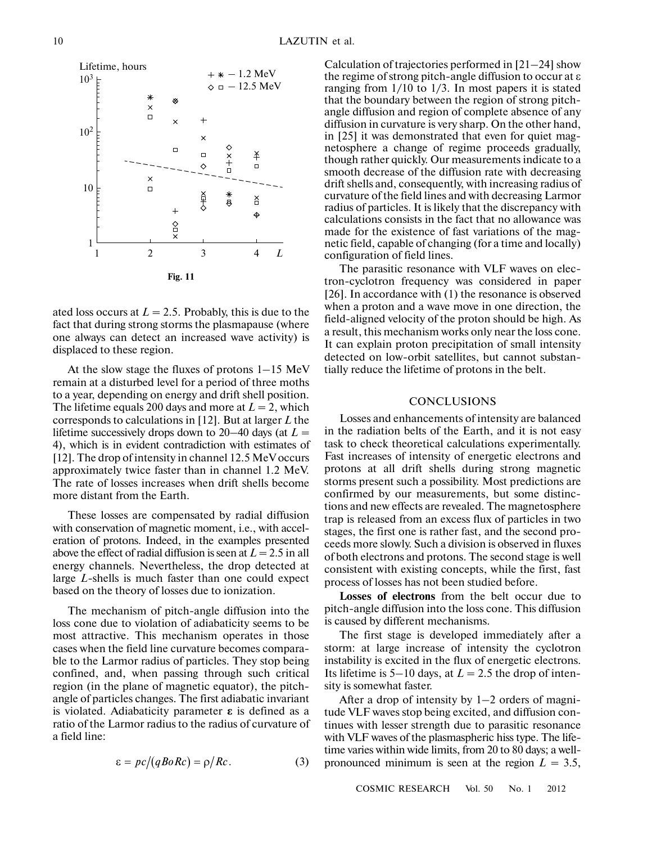

ated loss occurs at  $L = 2.5$ . Probably, this is due to the fact that during strong storms the plasmapause (where one always can detect an increased wave activity) is displaced to these region.

At the slow stage the fluxes of protons 1–15 MeV remain at a disturbed level for a period of three moths to a year, depending on energy and drift shell position. The lifetime equals 200 days and more at  $L = 2$ , which corresponds to calculations in [12]. But at larger *L* the lifetime successively drops down to 20–40 days (at  $L =$ 4), which is in evident contradiction with estimates of [12]. The drop of intensity in channel 12.5 MeV occurs approximately twice faster than in channel 1.2 MeV. The rate of losses increases when drift shells become more distant from the Earth.

These losses are compensated by radial diffusion with conservation of magnetic moment, i.e., with accel eration of protons. Indeed, in the examples presented above the effect of radial diffusion is seen at  $L = 2.5$  in all energy channels. Nevertheless, the drop detected at large *L*-shells is much faster than one could expect based on the theory of losses due to ionization.

The mechanism of pitch-angle diffusion into the loss cone due to violation of adiabaticity seems to be most attractive. This mechanism operates in those cases when the field line curvature becomes compara ble to the Larmor radius of particles. They stop being confined, and, when passing through such critical region (in the plane of magnetic equator), the pitch angle of particles changes. The first adiabatic invariant is violated. Adiabaticity parameter  $\epsilon$  is defined as a ratio of the Larmor radius to the radius of curvature of a field line:

$$
\varepsilon = pc/(qBo Rc) = \rho/Rc. \tag{3}
$$

Calculation of trajectories performed in [21–24] show the regime of strong pitch-angle diffusion to occur at ε ranging from 1/10 to 1/3. In most papers it is stated that the boundary between the region of strong pitch angle diffusion and region of complete absence of any diffusion in curvature is very sharp. On the other hand, in [25] it was demonstrated that even for quiet mag netosphere a change of regime proceeds gradually, though rather quickly. Our measurements indicate to a smooth decrease of the diffusion rate with decreasing drift shells and, consequently, with increasing radius of curvature of the field lines and with decreasing Larmor radius of particles. It is likely that the discrepancy with calculations consists in the fact that no allowance was made for the existence of fast variations of the magnetic field, capable of changing (for a time and locally) configuration of field lines.

The parasitic resonance with VLF waves on elec tron-cyclotron frequency was considered in paper [26]. In accordance with (1) the resonance is observed when a proton and a wave move in one direction, the field-aligned velocity of the proton should be high. As a result, this mechanism works only near the loss cone. It can explain proton precipitation of small intensity detected on low-orbit satellites, but cannot substan tially reduce the lifetime of protons in the belt.

# **CONCLUSIONS**

Losses and enhancements of intensity are balanced in the radiation belts of the Earth, and it is not easy task to check theoretical calculations experimentally. Fast increases of intensity of energetic electrons and protons at all drift shells during strong magnetic storms present such a possibility. Most predictions are confirmed by our measurements, but some distinc tions and new effects are revealed. The magnetosphere trap is released from an excess flux of particles in two stages, the first one is rather fast, and the second pro ceeds more slowly. Such a division is observed in fluxes of both electrons and protons. The second stage is well consistent with existing concepts, while the first, fast process of losses has not been studied before.

**Losses of electrons** from the belt occur due to pitch-angle diffusion into the loss cone. This diffusion is caused by different mechanisms.

The first stage is developed immediately after a storm: at large increase of intensity the cyclotron instability is excited in the flux of energetic electrons. Its lifetime is  $5-10$  days, at  $L = 2.5$  the drop of intensity is somewhat faster.

After a drop of intensity by 1–2 orders of magni tude VLF waves stop being excited, and diffusion con tinues with lesser strength due to parasitic resonance with VLF waves of the plasmaspheric hiss type. The life time varies within wide limits, from 20 to 80 days; a well pronounced minimum is seen at the region  $L = 3.5$ ,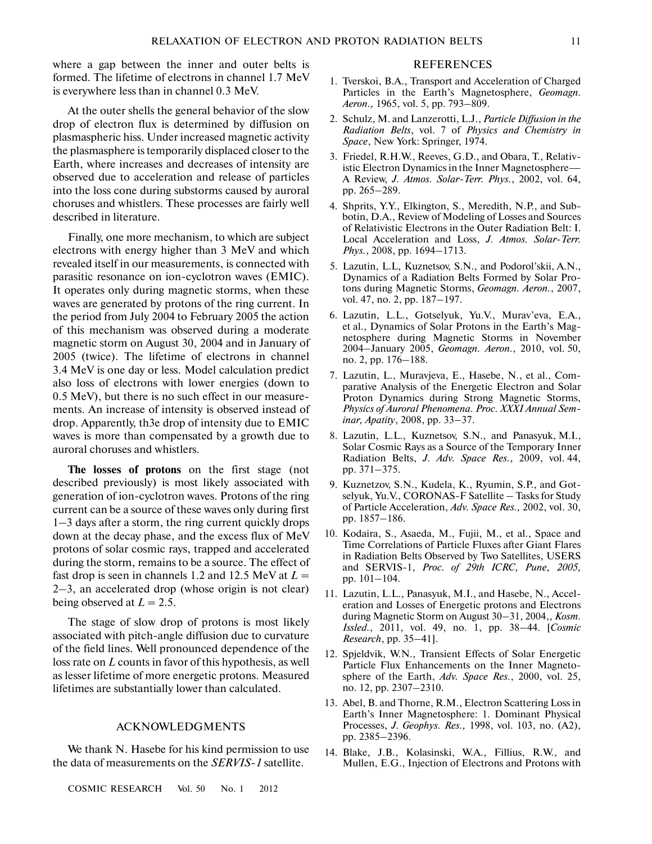where a gap between the inner and outer belts is formed. The lifetime of electrons in channel 1.7 MeV is everywhere less than in channel 0.3 MeV.

At the outer shells the general behavior of the slow drop of electron flux is determined by diffusion on plasmaspheric hiss. Under increased magnetic activity the plasmasphere is temporarily displaced closer to the Earth, where increases and decreases of intensity are observed due to acceleration and release of particles into the loss cone during substorms caused by auroral choruses and whistlers. These processes are fairly well described in literature.

Finally, one more mechanism, to which are subject electrons with energy higher than 3 MeV and which revealed itself in our measurements, is connected with parasitic resonance on ion-cyclotron waves (EMIC). It operates only during magnetic storms, when these waves are generated by protons of the ring current. In the period from July 2004 to February 2005 the action of this mechanism was observed during a moderate magnetic storm on August 30, 2004 and in January of 2005 (twice). The lifetime of electrons in channel 3.4 MeV is one day or less. Model calculation predict also loss of electrons with lower energies (down to 0.5 MeV), but there is no such effect in our measure ments. An increase of intensity is observed instead of drop. Apparently, th3e drop of intensity due to EMIC waves is more than compensated by a growth due to auroral choruses and whistlers.

**The losses of protons** on the first stage (not described previously) is most likely associated with generation of ion-cyclotron waves. Protons of the ring current can be a source of these waves only during first 1–3 days after a storm, the ring current quickly drops down at the decay phase, and the excess flux of MeV protons of solar cosmic rays, trapped and accelerated during the storm, remains to be a source. The effect of fast drop is seen in channels 1.2 and 12.5 MeV at  $L =$ 2–3, an accelerated drop (whose origin is not clear) being observed at  $L = 2.5$ .

The stage of slow drop of protons is most likely associated with pitch-angle diffusion due to curvature of the field lines. Well pronounced dependence of the loss rate on *L* counts in favor of this hypothesis, as well as lesser lifetime of more energetic protons. Measured lifetimes are substantially lower than calculated.

# ACKNOWLEDGMENTS

We thank N. Hasebe for his kind permission to use the data of measurements on the *SERVIS-1* satellite.

#### REFERENCES

- 1. Tverskoi, B.A., Transport and Acceleration of Charged Particles in the Earth's Magnetosphere, *Geomagn. Aeron.,* 1965, vol. 5, pp. 793–809.
- 2. Schulz, M. and Lanzerotti, L.J., *Particle Diffusion in the Radiation Belts*, vol. 7 of *Physics and Chemistry in Space*, New York: Springer, 1974.
- 3. Friedel, R.H.W., Reeves, G.D., and Obara, T., Relativ istic Electron Dynamics in the Inner Magnetosphere— A Review, *J. Atmos. Solar-Terr. Phys.*, 2002, vol. 64, pp. 265–289.
- 4. Shprits, Y.Y., Elkington, S., Meredith, N.P., and Sub botin, D.A., Review of Modeling of Losses and Sources of Relativistic Electrons in the Outer Radiation Belt: I. Local Acceleration and Loss, *J. Atmos. Solar-Terr. Phys.*, 2008, pp. 1694–1713.
- 5. Lazutin, L.L, Kuznetsov, S.N., and Podorol'skii, A.N., Dynamics of a Radiation Belts Formed by Solar Pro tons during Magnetic Storms, *Geomagn. Aeron.*, 2007, vol. 47, no. 2, pp. 187–197.
- 6. Lazutin, L.L., Gotselyuk, Yu.V., Murav'eva, E.A., et al., Dynamics of Solar Protons in the Earth's Mag netosphere during Magnetic Storms in November 2004–January 2005, *Geomagn. Aeron.*, 2010, vol. 50, no. 2, pp. 176–188.
- 7. Lazutin, L., Muravjeva, E., Hasebe, N., et al., Com parative Analysis of the Energetic Electron and Solar Proton Dynamics during Strong Magnetic Storms, *Physics of Auroral Phenomena. Proc. XXXI Annual Sem inar, Apatity*, 2008, pp. 33–37.
- 8. Lazutin, L.L., Kuznetsov, S.N., and Panasyuk, M.I., Solar Cosmic Rays as a Source of the Temporary Inner Radiation Belts, *J. Adv. Space Res.*, 2009, vol. 44, pp. 371–375.
- 9. Kuznetzov, S.N., Kudela, K., Ryumin, S.P., and Got selyuk, Yu.V., CORONAS-F Satellite – Tasks for Study of Particle Acceleration, *Adv. Space Res.,* 2002, vol. 30, pp. 1857–186.
- 10. Kodaira, S., Asaeda, M., Fujii, M., et al., Space and Time Correlations of Particle Fluxes after Giant Flares in Radiation Belts Observed by Two Satellites, USERS and SERVIS-1, *Proc. of 29th ICRC, Pune, 2005,* pp. 101–104.
- 11. Lazutin, L.L., Panasyuk, M.I., and Hasebe, N., Accel eration and Losses of Energetic protons and Electrons during Magnetic Storm on August 30–31, 2004,, *Kosm. Issled.*, 2011, vol. 49, no. 1, pp. 38–44. [*Cosmic Research*, pp. 35–41].
- 12. Spjeldvik, W.N., Transient Effects of Solar Energetic Particle Flux Enhancements on the Inner Magneto sphere of the Earth, *Adv. Space Res.*, 2000, vol. 25, no. 12, pp. 2307–2310.
- 13. Abel, B. and Thorne, R.M., Electron Scattering Loss in Earth's Inner Magnetosphere: 1. Dominant Physical Processes, *J. Geophys. Res.,* 1998, vol. 103, no. (A2), pp. 2385–2396.
- 14. Blake, J.B., Kolasinski, W.A., Fillius, R.W., and Mullen, E.G., Injection of Electrons and Protons with